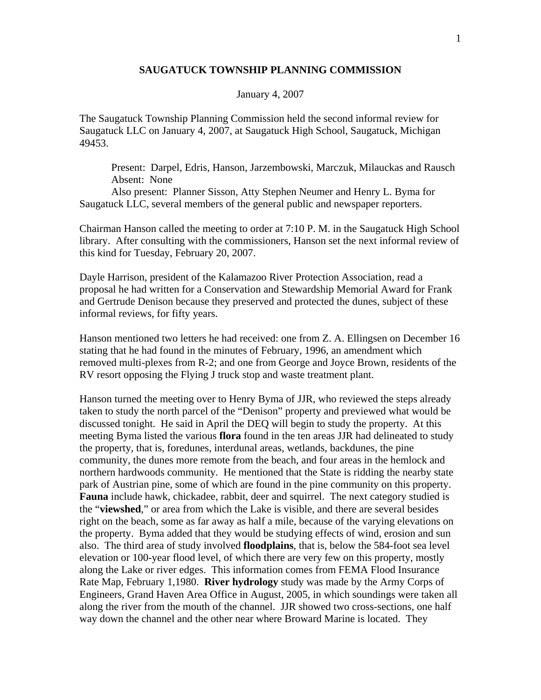## **SAUGATUCK TOWNSHIP PLANNING COMMISSION**

## January 4, 2007

The Saugatuck Township Planning Commission held the second informal review for Saugatuck LLC on January 4, 2007, at Saugatuck High School, Saugatuck, Michigan 49453.

 Present: Darpel, Edris, Hanson, Jarzembowski, Marczuk, Milauckas and Rausch Absent: None

 Also present: Planner Sisson, Atty Stephen Neumer and Henry L. Byma for Saugatuck LLC, several members of the general public and newspaper reporters.

Chairman Hanson called the meeting to order at 7:10 P. M. in the Saugatuck High School library. After consulting with the commissioners, Hanson set the next informal review of this kind for Tuesday, February 20, 2007.

Dayle Harrison, president of the Kalamazoo River Protection Association, read a proposal he had written for a Conservation and Stewardship Memorial Award for Frank and Gertrude Denison because they preserved and protected the dunes, subject of these informal reviews, for fifty years.

Hanson mentioned two letters he had received: one from Z. A. Ellingsen on December 16 stating that he had found in the minutes of February, 1996, an amendment which removed multi-plexes from R-2; and one from George and Joyce Brown, residents of the RV resort opposing the Flying J truck stop and waste treatment plant.

Hanson turned the meeting over to Henry Byma of JJR, who reviewed the steps already taken to study the north parcel of the "Denison" property and previewed what would be discussed tonight. He said in April the DEQ will begin to study the property. At this meeting Byma listed the various **flora** found in the ten areas JJR had delineated to study the property, that is, foredunes, interdunal areas, wetlands, backdunes, the pine community, the dunes more remote from the beach, and four areas in the hemlock and northern hardwoods community. He mentioned that the State is ridding the nearby state park of Austrian pine, some of which are found in the pine community on this property. **Fauna** include hawk, chickadee, rabbit, deer and squirrel. The next category studied is the "**viewshed**," or area from which the Lake is visible, and there are several besides right on the beach, some as far away as half a mile, because of the varying elevations on the property. Byma added that they would be studying effects of wind, erosion and sun also. The third area of study involved **floodplains**, that is, below the 584-foot sea level elevation or 100-year flood level, of which there are very few on this property, mostly along the Lake or river edges. This information comes from FEMA Flood Insurance Rate Map, February 1,1980. **River hydrology** study was made by the Army Corps of Engineers, Grand Haven Area Office in August, 2005, in which soundings were taken all along the river from the mouth of the channel. JJR showed two cross-sections, one half way down the channel and the other near where Broward Marine is located. They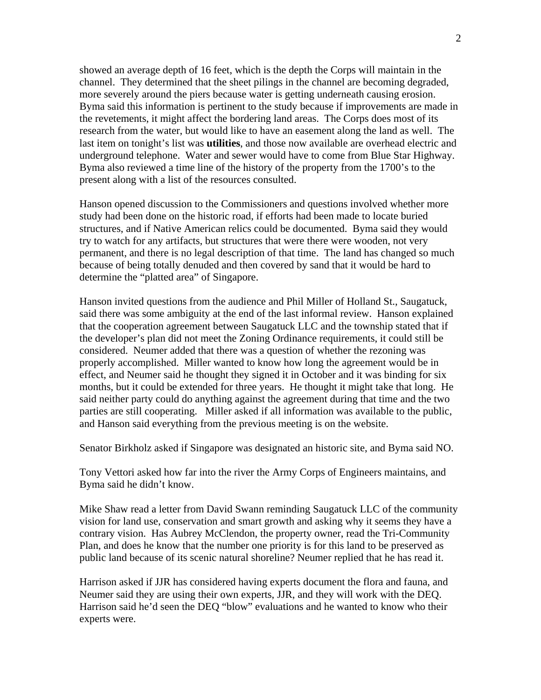showed an average depth of 16 feet, which is the depth the Corps will maintain in the channel. They determined that the sheet pilings in the channel are becoming degraded, more severely around the piers because water is getting underneath causing erosion. Byma said this information is pertinent to the study because if improvements are made in the revetements, it might affect the bordering land areas. The Corps does most of its research from the water, but would like to have an easement along the land as well. The last item on tonight's list was **utilities**, and those now available are overhead electric and underground telephone. Water and sewer would have to come from Blue Star Highway. Byma also reviewed a time line of the history of the property from the 1700's to the present along with a list of the resources consulted.

Hanson opened discussion to the Commissioners and questions involved whether more study had been done on the historic road, if efforts had been made to locate buried structures, and if Native American relics could be documented. Byma said they would try to watch for any artifacts, but structures that were there were wooden, not very permanent, and there is no legal description of that time. The land has changed so much because of being totally denuded and then covered by sand that it would be hard to determine the "platted area" of Singapore.

Hanson invited questions from the audience and Phil Miller of Holland St., Saugatuck, said there was some ambiguity at the end of the last informal review. Hanson explained that the cooperation agreement between Saugatuck LLC and the township stated that if the developer's plan did not meet the Zoning Ordinance requirements, it could still be considered. Neumer added that there was a question of whether the rezoning was properly accomplished. Miller wanted to know how long the agreement would be in effect, and Neumer said he thought they signed it in October and it was binding for six months, but it could be extended for three years. He thought it might take that long. He said neither party could do anything against the agreement during that time and the two parties are still cooperating. Miller asked if all information was available to the public, and Hanson said everything from the previous meeting is on the website.

Senator Birkholz asked if Singapore was designated an historic site, and Byma said NO.

Tony Vettori asked how far into the river the Army Corps of Engineers maintains, and Byma said he didn't know.

Mike Shaw read a letter from David Swann reminding Saugatuck LLC of the community vision for land use, conservation and smart growth and asking why it seems they have a contrary vision. Has Aubrey McClendon, the property owner, read the Tri-Community Plan, and does he know that the number one priority is for this land to be preserved as public land because of its scenic natural shoreline? Neumer replied that he has read it.

Harrison asked if JJR has considered having experts document the flora and fauna, and Neumer said they are using their own experts, JJR, and they will work with the DEQ. Harrison said he'd seen the DEQ "blow" evaluations and he wanted to know who their experts were.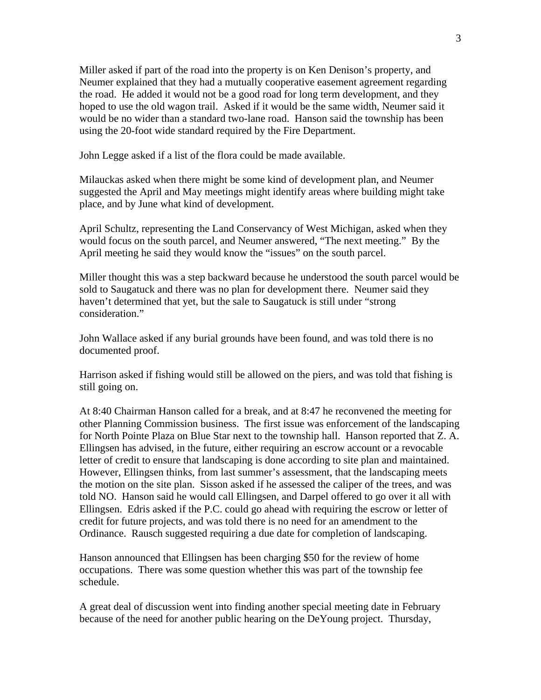Miller asked if part of the road into the property is on Ken Denison's property, and Neumer explained that they had a mutually cooperative easement agreement regarding the road. He added it would not be a good road for long term development, and they hoped to use the old wagon trail. Asked if it would be the same width, Neumer said it would be no wider than a standard two-lane road. Hanson said the township has been using the 20-foot wide standard required by the Fire Department.

John Legge asked if a list of the flora could be made available.

Milauckas asked when there might be some kind of development plan, and Neumer suggested the April and May meetings might identify areas where building might take place, and by June what kind of development.

April Schultz, representing the Land Conservancy of West Michigan, asked when they would focus on the south parcel, and Neumer answered, "The next meeting." By the April meeting he said they would know the "issues" on the south parcel.

Miller thought this was a step backward because he understood the south parcel would be sold to Saugatuck and there was no plan for development there. Neumer said they haven't determined that yet, but the sale to Saugatuck is still under "strong consideration."

John Wallace asked if any burial grounds have been found, and was told there is no documented proof.

Harrison asked if fishing would still be allowed on the piers, and was told that fishing is still going on.

At 8:40 Chairman Hanson called for a break, and at 8:47 he reconvened the meeting for other Planning Commission business. The first issue was enforcement of the landscaping for North Pointe Plaza on Blue Star next to the township hall. Hanson reported that Z. A. Ellingsen has advised, in the future, either requiring an escrow account or a revocable letter of credit to ensure that landscaping is done according to site plan and maintained. However, Ellingsen thinks, from last summer's assessment, that the landscaping meets the motion on the site plan. Sisson asked if he assessed the caliper of the trees, and was told NO. Hanson said he would call Ellingsen, and Darpel offered to go over it all with Ellingsen. Edris asked if the P.C. could go ahead with requiring the escrow or letter of credit for future projects, and was told there is no need for an amendment to the Ordinance. Rausch suggested requiring a due date for completion of landscaping.

Hanson announced that Ellingsen has been charging \$50 for the review of home occupations. There was some question whether this was part of the township fee schedule.

A great deal of discussion went into finding another special meeting date in February because of the need for another public hearing on the DeYoung project. Thursday,